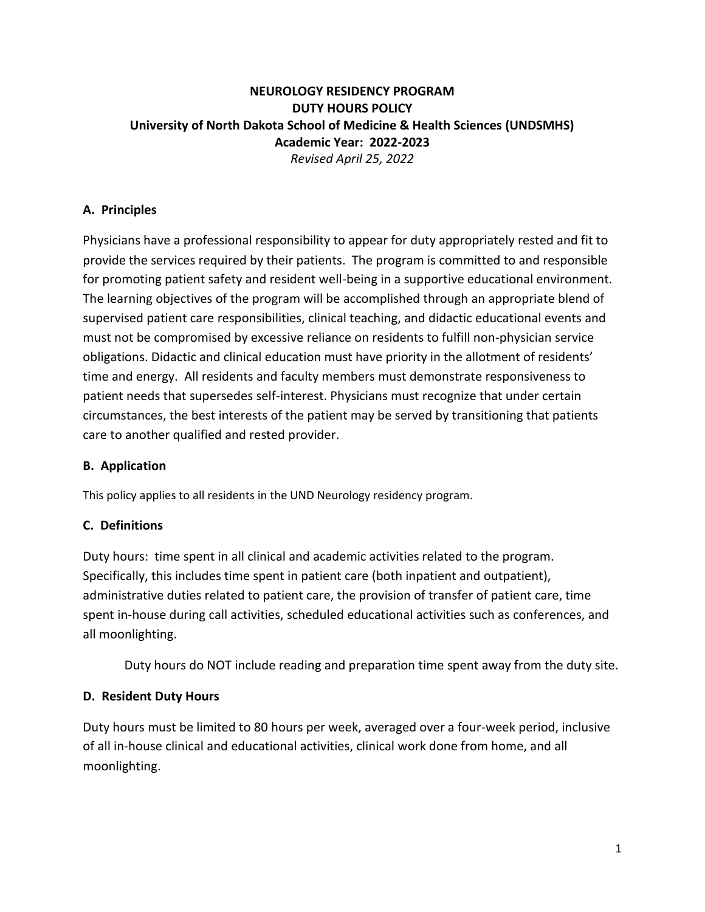## **NEUROLOGY RESIDENCY PROGRAM DUTY HOURS POLICY University of North Dakota School of Medicine & Health Sciences (UNDSMHS) Academic Year: 2022-2023** *Revised April 25, 2022*

# **A. Principles**

Physicians have a professional responsibility to appear for duty appropriately rested and fit to provide the services required by their patients. The program is committed to and responsible for promoting patient safety and resident well-being in a supportive educational environment. The learning objectives of the program will be accomplished through an appropriate blend of supervised patient care responsibilities, clinical teaching, and didactic educational events and must not be compromised by excessive reliance on residents to fulfill non-physician service obligations. Didactic and clinical education must have priority in the allotment of residents' time and energy. All residents and faculty members must demonstrate responsiveness to patient needs that supersedes self-interest. Physicians must recognize that under certain circumstances, the best interests of the patient may be served by transitioning that patients care to another qualified and rested provider.

## **B. Application**

This policy applies to all residents in the UND Neurology residency program.

## **C. Definitions**

Duty hours: time spent in all clinical and academic activities related to the program. Specifically, this includes time spent in patient care (both inpatient and outpatient), administrative duties related to patient care, the provision of transfer of patient care, time spent in-house during call activities, scheduled educational activities such as conferences, and all moonlighting.

Duty hours do NOT include reading and preparation time spent away from the duty site.

## **D. Resident Duty Hours**

Duty hours must be limited to 80 hours per week, averaged over a four-week period, inclusive of all in-house clinical and educational activities, clinical work done from home, and all moonlighting.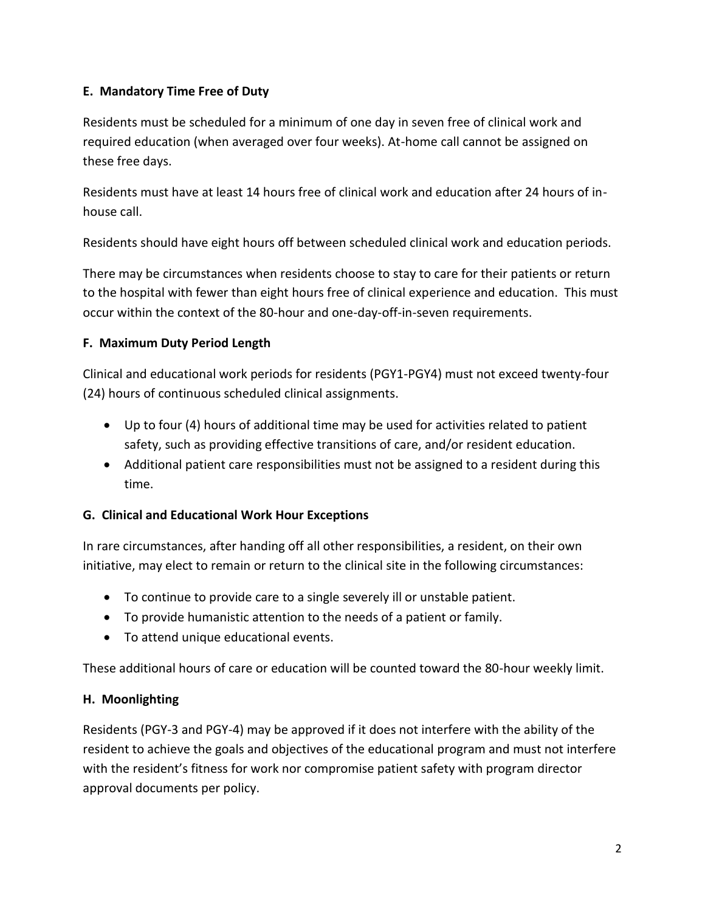## **E. Mandatory Time Free of Duty**

Residents must be scheduled for a minimum of one day in seven free of clinical work and required education (when averaged over four weeks). At-home call cannot be assigned on these free days.

Residents must have at least 14 hours free of clinical work and education after 24 hours of inhouse call.

Residents should have eight hours off between scheduled clinical work and education periods.

There may be circumstances when residents choose to stay to care for their patients or return to the hospital with fewer than eight hours free of clinical experience and education. This must occur within the context of the 80-hour and one-day-off-in-seven requirements.

## **F. Maximum Duty Period Length**

Clinical and educational work periods for residents (PGY1-PGY4) must not exceed twenty-four (24) hours of continuous scheduled clinical assignments.

- Up to four (4) hours of additional time may be used for activities related to patient safety, such as providing effective transitions of care, and/or resident education.
- Additional patient care responsibilities must not be assigned to a resident during this time.

# **G. Clinical and Educational Work Hour Exceptions**

In rare circumstances, after handing off all other responsibilities, a resident, on their own initiative, may elect to remain or return to the clinical site in the following circumstances:

- To continue to provide care to a single severely ill or unstable patient.
- To provide humanistic attention to the needs of a patient or family.
- To attend unique educational events.

These additional hours of care or education will be counted toward the 80-hour weekly limit.

## **H. Moonlighting**

Residents (PGY-3 and PGY-4) may be approved if it does not interfere with the ability of the resident to achieve the goals and objectives of the educational program and must not interfere with the resident's fitness for work nor compromise patient safety with program director approval documents per policy.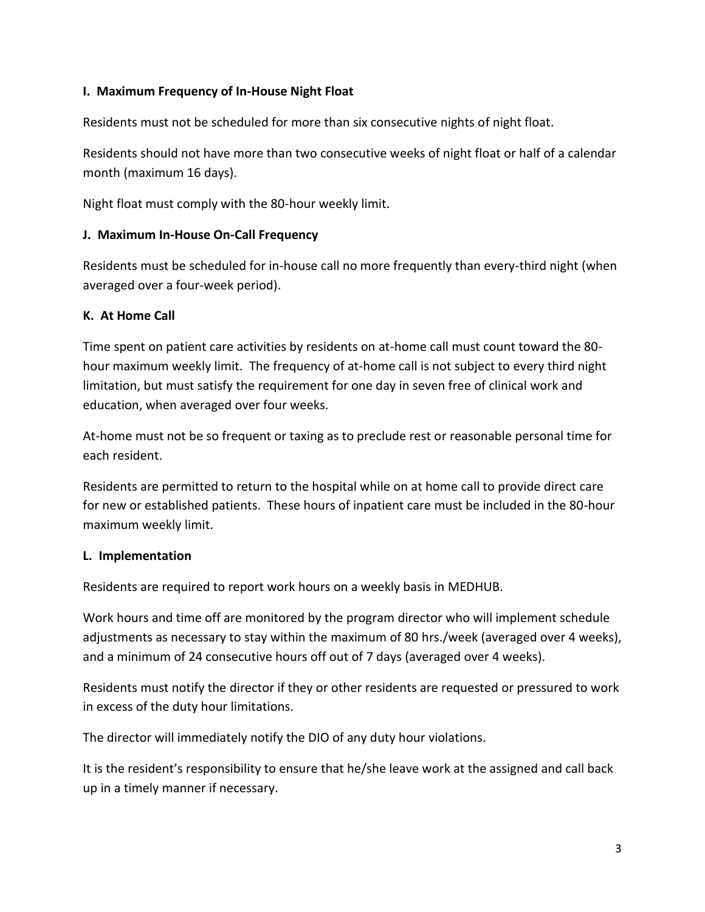### **I. Maximum Frequency of In-House Night Float**

Residents must not be scheduled for more than six consecutive nights of night float.

Residents should not have more than two consecutive weeks of night float or half of a calendar month (maximum 16 days).

Night float must comply with the 80-hour weekly limit.

### **J. Maximum In-House On-Call Frequency**

Residents must be scheduled for in-house call no more frequently than every-third night (when averaged over a four-week period).

### **K. At Home Call**

Time spent on patient care activities by residents on at-home call must count toward the 80 hour maximum weekly limit. The frequency of at-home call is not subject to every third night limitation, but must satisfy the requirement for one day in seven free of clinical work and education, when averaged over four weeks.

At-home must not be so frequent or taxing as to preclude rest or reasonable personal time for each resident.

Residents are permitted to return to the hospital while on at home call to provide direct care for new or established patients. These hours of inpatient care must be included in the 80-hour maximum weekly limit.

#### **L. Implementation**

Residents are required to report work hours on a weekly basis in MEDHUB.

Work hours and time off are monitored by the program director who will implement schedule adjustments as necessary to stay within the maximum of 80 hrs./week (averaged over 4 weeks), and a minimum of 24 consecutive hours off out of 7 days (averaged over 4 weeks).

Residents must notify the director if they or other residents are requested or pressured to work in excess of the duty hour limitations.

The director will immediately notify the DIO of any duty hour violations.

It is the resident's responsibility to ensure that he/she leave work at the assigned and call back up in a timely manner if necessary.